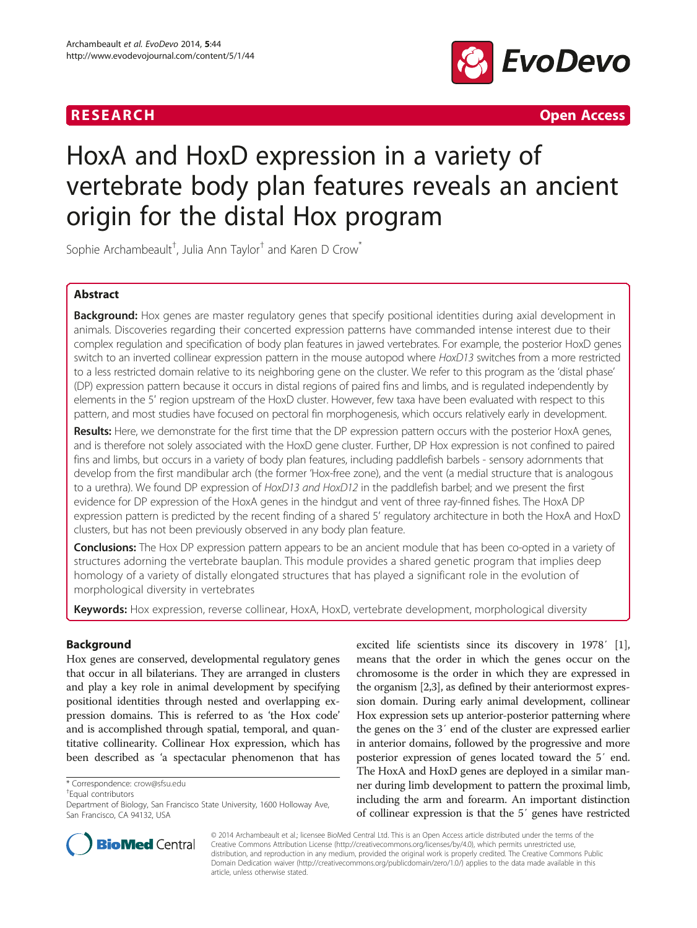

**RESEARCH CHINESE ARCH CHINESE ARCH CHINESE ARCH <b>CHINESE ARCH CHINESE ARCH CHINESE ARCH <b>CHINESE ARCH** CHINESE ARCH **CHINESE ARCH 2014** 

# HoxA and HoxD expression in a variety of vertebrate body plan features reveals an ancient origin for the distal Hox program

Sophie Archambeault $^\dagger$ , Julia Ann Taylor $^\dagger$  and Karen D Crow $^*$ 

# Abstract

Background: Hox genes are master regulatory genes that specify positional identities during axial development in animals. Discoveries regarding their concerted expression patterns have commanded intense interest due to their complex regulation and specification of body plan features in jawed vertebrates. For example, the posterior HoxD genes switch to an inverted collinear expression pattern in the mouse autopod where HoxD13 switches from a more restricted to a less restricted domain relative to its neighboring gene on the cluster. We refer to this program as the 'distal phase' (DP) expression pattern because it occurs in distal regions of paired fins and limbs, and is regulated independently by elements in the 5′ region upstream of the HoxD cluster. However, few taxa have been evaluated with respect to this pattern, and most studies have focused on pectoral fin morphogenesis, which occurs relatively early in development.

Results: Here, we demonstrate for the first time that the DP expression pattern occurs with the posterior HoxA genes, and is therefore not solely associated with the HoxD gene cluster. Further, DP Hox expression is not confined to paired fins and limbs, but occurs in a variety of body plan features, including paddlefish barbels - sensory adornments that develop from the first mandibular arch (the former 'Hox-free zone), and the vent (a medial structure that is analogous to a urethra). We found DP expression of HoxD13 and HoxD12 in the paddlefish barbel; and we present the first evidence for DP expression of the HoxA genes in the hindgut and vent of three ray-finned fishes. The HoxA DP expression pattern is predicted by the recent finding of a shared 5′ regulatory architecture in both the HoxA and HoxD clusters, but has not been previously observed in any body plan feature.

**Conclusions:** The Hox DP expression pattern appears to be an ancient module that has been co-opted in a variety of structures adorning the vertebrate bauplan. This module provides a shared genetic program that implies deep homology of a variety of distally elongated structures that has played a significant role in the evolution of morphological diversity in vertebrates

Keywords: Hox expression, reverse collinear, HoxA, HoxD, vertebrate development, morphological diversity

# Background

Hox genes are conserved, developmental regulatory genes that occur in all bilaterians. They are arranged in clusters and play a key role in animal development by specifying positional identities through nested and overlapping expression domains. This is referred to as 'the Hox code' and is accomplished through spatial, temporal, and quantitative collinearity. Collinear Hox expression, which has been described as 'a spectacular phenomenon that has

Equal contributors

excited life scientists since its discovery in 1978′ [[1](#page-8-0)], means that the order in which the genes occur on the chromosome is the order in which they are expressed in the organism [\[2,3](#page-8-0)], as defined by their anteriormost expression domain. During early animal development, collinear Hox expression sets up anterior-posterior patterning where the genes on the 3′ end of the cluster are expressed earlier in anterior domains, followed by the progressive and more posterior expression of genes located toward the 5′ end. The HoxA and HoxD genes are deployed in a similar manner during limb development to pattern the proximal limb, including the arm and forearm. An important distinction of collinear expression is that the 5′ genes have restricted



© 2014 Archambeault et al.; licensee BioMed Central Ltd. This is an Open Access article distributed under the terms of the Creative Commons Attribution License (<http://creativecommons.org/licenses/by/4.0>), which permits unrestricted use, distribution, and reproduction in any medium, provided the original work is properly credited. The Creative Commons Public Domain Dedication waiver [\(http://creativecommons.org/publicdomain/zero/1.0/\)](http://creativecommons.org/publicdomain/zero/1.0/) applies to the data made available in this article, unless otherwise stated.

<sup>\*</sup> Correspondence: [crow@sfsu.edu](mailto:crow@sfsu.edu) †

Department of Biology, San Francisco State University, 1600 Holloway Ave, San Francisco, CA 94132, USA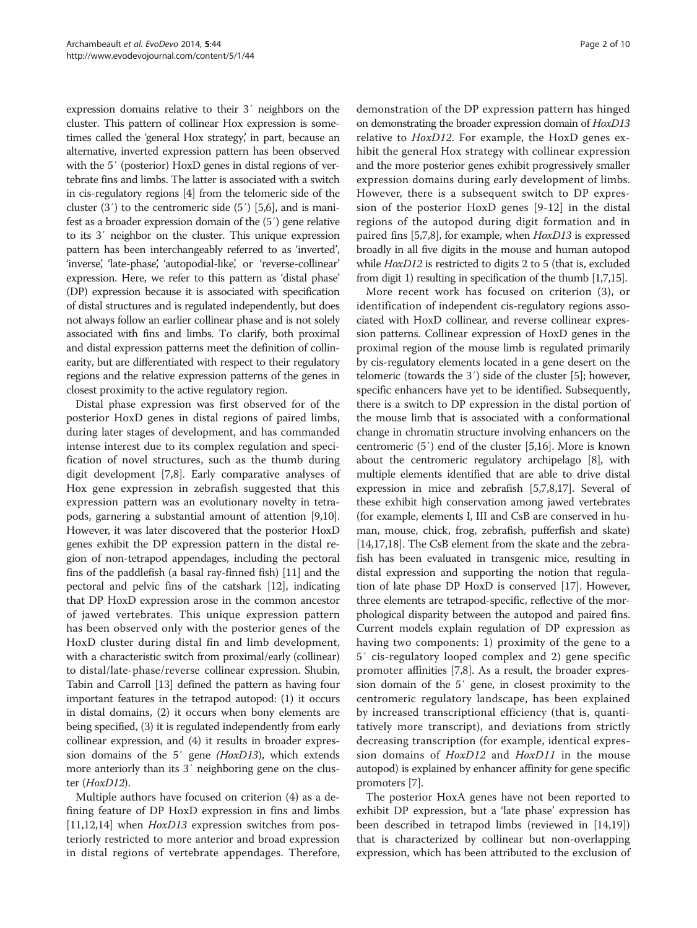expression domains relative to their 3′ neighbors on the cluster. This pattern of collinear Hox expression is sometimes called the 'general Hox strategy,' in part, because an alternative, inverted expression pattern has been observed with the 5′ (posterior) HoxD genes in distal regions of vertebrate fins and limbs. The latter is associated with a switch in cis-regulatory regions [\[4](#page-8-0)] from the telomeric side of the cluster  $(3')$  to the centromeric side  $(5')$  [\[5,6\]](#page-8-0), and is manifest as a broader expression domain of the (5′) gene relative to its 3′ neighbor on the cluster. This unique expression pattern has been interchangeably referred to as 'inverted', 'inverse', 'late-phase', 'autopodial-like', or 'reverse-collinear' expression. Here, we refer to this pattern as 'distal phase' (DP) expression because it is associated with specification of distal structures and is regulated independently, but does not always follow an earlier collinear phase and is not solely associated with fins and limbs. To clarify, both proximal and distal expression patterns meet the definition of collinearity, but are differentiated with respect to their regulatory regions and the relative expression patterns of the genes in closest proximity to the active regulatory region.

Distal phase expression was first observed for of the posterior HoxD genes in distal regions of paired limbs, during later stages of development, and has commanded intense interest due to its complex regulation and specification of novel structures, such as the thumb during digit development [[7,8\]](#page-8-0). Early comparative analyses of Hox gene expression in zebrafish suggested that this expression pattern was an evolutionary novelty in tetrapods, garnering a substantial amount of attention [[9,10](#page-8-0)]. However, it was later discovered that the posterior HoxD genes exhibit the DP expression pattern in the distal region of non-tetrapod appendages, including the pectoral fins of the paddlefish (a basal ray-finned fish) [\[11](#page-8-0)] and the pectoral and pelvic fins of the catshark [\[12](#page-8-0)], indicating that DP HoxD expression arose in the common ancestor of jawed vertebrates. This unique expression pattern has been observed only with the posterior genes of the HoxD cluster during distal fin and limb development, with a characteristic switch from proximal/early (collinear) to distal/late-phase/reverse collinear expression. Shubin, Tabin and Carroll [\[13](#page-8-0)] defined the pattern as having four important features in the tetrapod autopod: (1) it occurs in distal domains, (2) it occurs when bony elements are being specified, (3) it is regulated independently from early collinear expression, and (4) it results in broader expression domains of the 5′ gene (HoxD13), which extends more anteriorly than its 3′ neighboring gene on the cluster (HoxD12).

Multiple authors have focused on criterion (4) as a defining feature of DP HoxD expression in fins and limbs  $[11,12,14]$  $[11,12,14]$  when  $HoxD13$  expression switches from posteriorly restricted to more anterior and broad expression in distal regions of vertebrate appendages. Therefore,

demonstration of the DP expression pattern has hinged on demonstrating the broader expression domain of HoxD13 relative to HoxD12. For example, the HoxD genes exhibit the general Hox strategy with collinear expression and the more posterior genes exhibit progressively smaller expression domains during early development of limbs. However, there is a subsequent switch to DP expression of the posterior HoxD genes [\[9-12](#page-8-0)] in the distal regions of the autopod during digit formation and in paired fins [\[5,7](#page-8-0),[8](#page-8-0)], for example, when HoxD13 is expressed broadly in all five digits in the mouse and human autopod while HoxD12 is restricted to digits 2 to 5 (that is, excluded from digit 1) resulting in specification of the thumb [[1,7,](#page-8-0)[15](#page-9-0)].

More recent work has focused on criterion (3), or identification of independent cis-regulatory regions associated with HoxD collinear, and reverse collinear expression patterns. Collinear expression of HoxD genes in the proximal region of the mouse limb is regulated primarily by cis-regulatory elements located in a gene desert on the telomeric (towards the 3′) side of the cluster [[5](#page-8-0)]; however, specific enhancers have yet to be identified. Subsequently, there is a switch to DP expression in the distal portion of the mouse limb that is associated with a conformational change in chromatin structure involving enhancers on the centromeric (5′) end of the cluster [[5,](#page-8-0)[16](#page-9-0)]. More is known about the centromeric regulatory archipelago [\[8](#page-8-0)], with multiple elements identified that are able to drive distal expression in mice and zebrafish [[5,7,8](#page-8-0)[,17\]](#page-9-0). Several of these exhibit high conservation among jawed vertebrates (for example, elements I, III and CsB are conserved in human, mouse, chick, frog, zebrafish, pufferfish and skate) [[14](#page-8-0),[17,18\]](#page-9-0). The CsB element from the skate and the zebrafish has been evaluated in transgenic mice, resulting in distal expression and supporting the notion that regulation of late phase DP HoxD is conserved [[17](#page-9-0)]. However, three elements are tetrapod-specific, reflective of the morphological disparity between the autopod and paired fins. Current models explain regulation of DP expression as having two components: 1) proximity of the gene to a 5′ cis-regulatory looped complex and 2) gene specific promoter affinities [\[7,8](#page-8-0)]. As a result, the broader expression domain of the 5′ gene, in closest proximity to the centromeric regulatory landscape, has been explained by increased transcriptional efficiency (that is, quantitatively more transcript), and deviations from strictly decreasing transcription (for example, identical expression domains of HoxD12 and HoxD11 in the mouse autopod) is explained by enhancer affinity for gene specific promoters [\[7\]](#page-8-0).

The posterior HoxA genes have not been reported to exhibit DP expression, but a 'late phase' expression has been described in tetrapod limbs (reviewed in [\[14](#page-8-0)[,19](#page-9-0)]) that is characterized by collinear but non-overlapping expression, which has been attributed to the exclusion of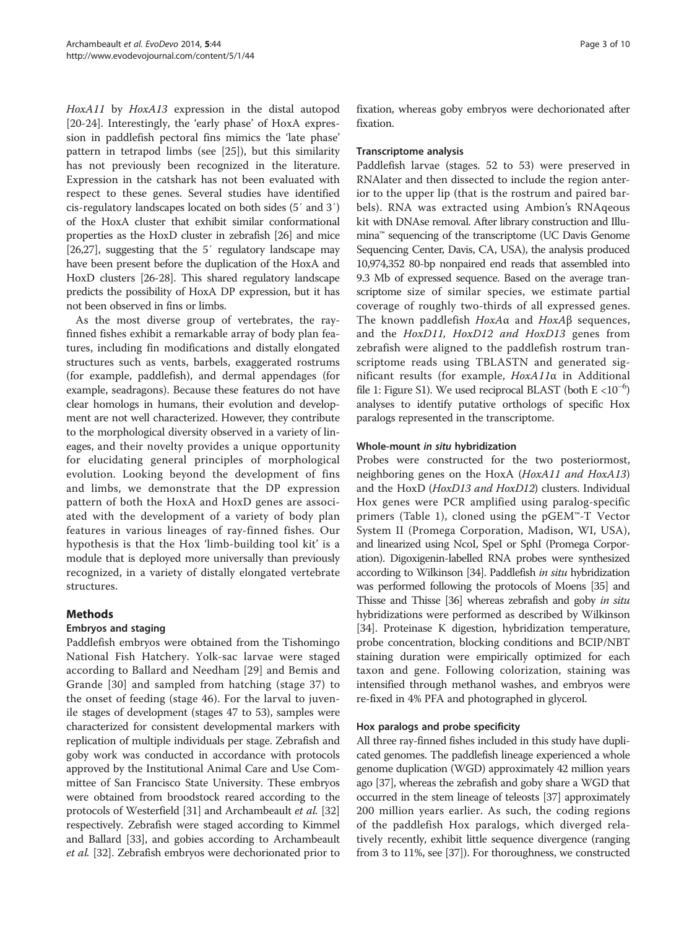HoxA11 by HoxA13 expression in the distal autopod [[20-24](#page-9-0)]. Interestingly, the 'early phase' of HoxA expression in paddlefish pectoral fins mimics the 'late phase' pattern in tetrapod limbs (see [\[25](#page-9-0)]), but this similarity has not previously been recognized in the literature. Expression in the catshark has not been evaluated with respect to these genes. Several studies have identified cis-regulatory landscapes located on both sides (5′ and 3′) of the HoxA cluster that exhibit similar conformational properties as the HoxD cluster in zebrafish [\[26\]](#page-9-0) and mice [[26,27\]](#page-9-0), suggesting that the 5′ regulatory landscape may have been present before the duplication of the HoxA and HoxD clusters [\[26](#page-9-0)-[28](#page-9-0)]. This shared regulatory landscape predicts the possibility of HoxA DP expression, but it has not been observed in fins or limbs.

As the most diverse group of vertebrates, the rayfinned fishes exhibit a remarkable array of body plan features, including fin modifications and distally elongated structures such as vents, barbels, exaggerated rostrums (for example, paddlefish), and dermal appendages (for example, seadragons). Because these features do not have clear homologs in humans, their evolution and development are not well characterized. However, they contribute to the morphological diversity observed in a variety of lineages, and their novelty provides a unique opportunity for elucidating general principles of morphological evolution. Looking beyond the development of fins and limbs, we demonstrate that the DP expression pattern of both the HoxA and HoxD genes are associated with the development of a variety of body plan features in various lineages of ray-finned fishes. Our hypothesis is that the Hox 'limb-building tool kit' is a module that is deployed more universally than previously recognized, in a variety of distally elongated vertebrate structures.

### Methods

# Embryos and staging

Paddlefish embryos were obtained from the Tishomingo National Fish Hatchery. Yolk-sac larvae were staged according to Ballard and Needham [\[29](#page-9-0)] and Bemis and Grande [\[30](#page-9-0)] and sampled from hatching (stage 37) to the onset of feeding (stage 46). For the larval to juvenile stages of development (stages 47 to 53), samples were characterized for consistent developmental markers with replication of multiple individuals per stage. Zebrafish and goby work was conducted in accordance with protocols approved by the Institutional Animal Care and Use Committee of San Francisco State University. These embryos were obtained from broodstock reared according to the protocols of Westerfield [\[31\]](#page-9-0) and Archambeault et al. [[32](#page-9-0)] respectively. Zebrafish were staged according to Kimmel and Ballard [\[33\]](#page-9-0), and gobies according to Archambeault et al. [[32](#page-9-0)]. Zebrafish embryos were dechorionated prior to fixation, whereas goby embryos were dechorionated after fixation.

#### Transcriptome analysis

Paddlefish larvae (stages. 52 to 53) were preserved in RNAlater and then dissected to include the region anterior to the upper lip (that is the rostrum and paired barbels). RNA was extracted using Ambion's RNAqeous kit with DNAse removal. After library construction and Illumina™ sequencing of the transcriptome (UC Davis Genome Sequencing Center, Davis, CA, USA), the analysis produced 10,974,352 80-bp nonpaired end reads that assembled into 9.3 Mb of expressed sequence. Based on the average transcriptome size of similar species, we estimate partial coverage of roughly two-thirds of all expressed genes. The known paddlefish HoxAα and HoxAβ sequences, and the HoxD11, HoxD12 and HoxD13 genes from zebrafish were aligned to the paddlefish rostrum transcriptome reads using TBLASTN and generated significant results (for example, HoxA11α in Additional file [1:](#page-7-0) Figure S1). We used reciprocal BLAST (both E <10−<sup>6</sup> ) analyses to identify putative orthologs of specific Hox paralogs represented in the transcriptome.

### Whole-mount in situ hybridization

Probes were constructed for the two posteriormost, neighboring genes on the HoxA (HoxA11 and HoxA13) and the HoxD (HoxD13 and HoxD12) clusters. Individual Hox genes were PCR amplified using paralog-specific primers (Table [1\)](#page-3-0), cloned using the pGEM™-T Vector System II (Promega Corporation, Madison, WI, USA), and linearized using NcoI, SpeI or SphI (Promega Corporation). Digoxigenin-labelled RNA probes were synthesized according to Wilkinson [\[34\]](#page-9-0). Paddlefish in situ hybridization was performed following the protocols of Moens [\[35](#page-9-0)] and Thisse and Thisse [\[36\]](#page-9-0) whereas zebrafish and goby in situ hybridizations were performed as described by Wilkinson [[34](#page-9-0)]. Proteinase K digestion, hybridization temperature, probe concentration, blocking conditions and BCIP/NBT staining duration were empirically optimized for each taxon and gene. Following colorization, staining was intensified through methanol washes, and embryos were re-fixed in 4% PFA and photographed in glycerol.

### Hox paralogs and probe specificity

All three ray-finned fishes included in this study have duplicated genomes. The paddlefish lineage experienced a whole genome duplication (WGD) approximately 42 million years ago [\[37\]](#page-9-0), whereas the zebrafish and goby share a WGD that occurred in the stem lineage of teleosts [\[37\]](#page-9-0) approximately 200 million years earlier. As such, the coding regions of the paddlefish Hox paralogs, which diverged relatively recently, exhibit little sequence divergence (ranging from 3 to 11%, see [[37](#page-9-0)]). For thoroughness, we constructed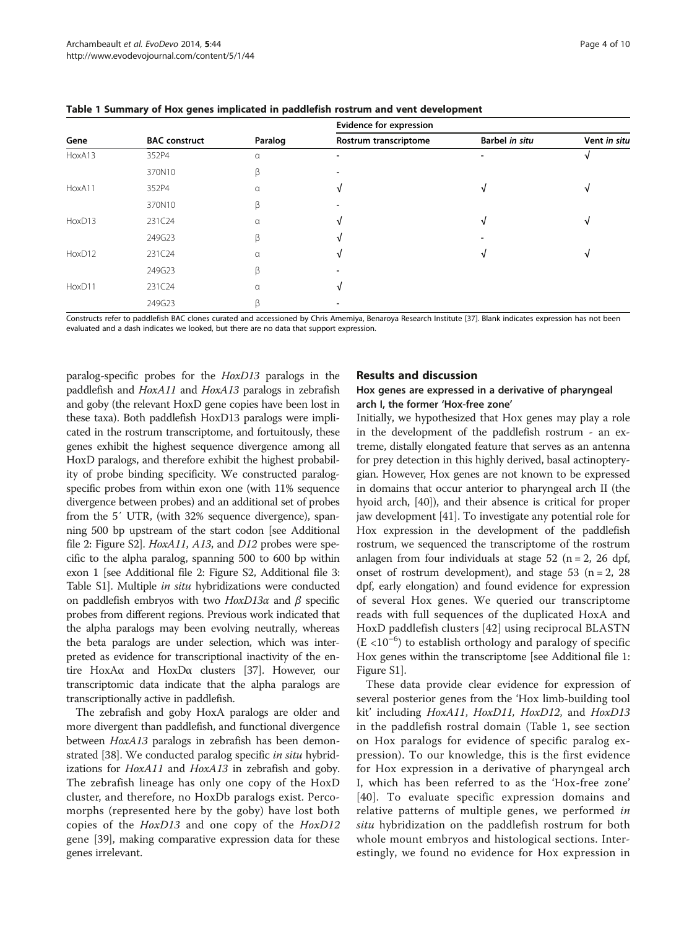| Gene   | <b>BAC</b> construct | Paralog  | <b>Evidence for expression</b> |                |              |  |
|--------|----------------------|----------|--------------------------------|----------------|--------------|--|
|        |                      |          | Rostrum transcriptome          | Barbel in situ | Vent in situ |  |
| HoxA13 | 352P4                | α        |                                |                |              |  |
|        | 370N10               | ß        |                                |                |              |  |
| HoxA11 | 352P4                | α        |                                |                |              |  |
|        | 370N10               | ß        |                                |                |              |  |
| HoxD13 | 231C24               | a        |                                |                |              |  |
|        | 249G23               | ß        |                                |                |              |  |
| HoxD12 | 231C24               | $\alpha$ |                                |                |              |  |
|        | 249G23               | ß        |                                |                |              |  |
| HoxD11 | 231C24               | α        |                                |                |              |  |
|        | 249G23               |          |                                |                |              |  |

<span id="page-3-0"></span>

|  |  |  |  |  |  |  | Table 1 Summary of Hox genes implicated in paddlefish rostrum and vent development |
|--|--|--|--|--|--|--|------------------------------------------------------------------------------------|
|--|--|--|--|--|--|--|------------------------------------------------------------------------------------|

Constructs refer to paddlefish BAC clones curated and accessioned by Chris Amemiya, Benaroya Research Institute [\[37](#page-9-0)]. Blank indicates expression has not been evaluated and a dash indicates we looked, but there are no data that support expression.

paralog-specific probes for the HoxD13 paralogs in the paddlefish and HoxA11 and HoxA13 paralogs in zebrafish and goby (the relevant HoxD gene copies have been lost in these taxa). Both paddlefish HoxD13 paralogs were implicated in the rostrum transcriptome, and fortuitously, these genes exhibit the highest sequence divergence among all HoxD paralogs, and therefore exhibit the highest probability of probe binding specificity. We constructed paralogspecific probes from within exon one (with 11% sequence divergence between probes) and an additional set of probes from the 5′ UTR, (with 32% sequence divergence), spanning 500 bp upstream of the start codon [see Additional file [2](#page-7-0): Figure S2]. HoxA11, A13, and D12 probes were specific to the alpha paralog, spanning 500 to 600 bp within exon 1 [see Additional file [2:](#page-7-0) Figure S2, Additional file [3](#page-7-0): Table S1]. Multiple in situ hybridizations were conducted on paddlefish embryos with two  $HoxD13\alpha$  and  $\beta$  specific probes from different regions. Previous work indicated that the alpha paralogs may been evolving neutrally, whereas the beta paralogs are under selection, which was interpreted as evidence for transcriptional inactivity of the entire HoxAα and HoxDα clusters [\[37\]](#page-9-0). However, our transcriptomic data indicate that the alpha paralogs are transcriptionally active in paddlefish.

The zebrafish and goby HoxA paralogs are older and more divergent than paddlefish, and functional divergence between *HoxA13* paralogs in zebrafish has been demon-strated [[38](#page-9-0)]. We conducted paralog specific in situ hybridizations for *HoxA11* and *HoxA13* in zebrafish and goby. The zebrafish lineage has only one copy of the HoxD cluster, and therefore, no HoxDb paralogs exist. Percomorphs (represented here by the goby) have lost both copies of the HoxD13 and one copy of the HoxD12 gene [\[39\]](#page-9-0), making comparative expression data for these genes irrelevant.

#### Results and discussion

# Hox genes are expressed in a derivative of pharyngeal arch I, the former 'Hox-free zone'

Initially, we hypothesized that Hox genes may play a role in the development of the paddlefish rostrum - an extreme, distally elongated feature that serves as an antenna for prey detection in this highly derived, basal actinopterygian. However, Hox genes are not known to be expressed in domains that occur anterior to pharyngeal arch II (the hyoid arch, [\[40\]](#page-9-0)), and their absence is critical for proper jaw development [\[41\]](#page-9-0). To investigate any potential role for Hox expression in the development of the paddlefish rostrum, we sequenced the transcriptome of the rostrum anlagen from four individuals at stage  $52$  (n = 2, 26 dpf, onset of rostrum development), and stage  $53$  (n = 2, 28) dpf, early elongation) and found evidence for expression of several Hox genes. We queried our transcriptome reads with full sequences of the duplicated HoxA and HoxD paddlefish clusters [\[42](#page-9-0)] using reciprocal BLASTN (E <10−<sup>6</sup> ) to establish orthology and paralogy of specific Hox genes within the transcriptome [see Additional file [1](#page-7-0): Figure S1].

These data provide clear evidence for expression of several posterior genes from the 'Hox limb-building tool kit' including HoxA11, HoxD11, HoxD12, and HoxD13 in the paddlefish rostral domain (Table 1, see section on Hox paralogs for evidence of specific paralog expression). To our knowledge, this is the first evidence for Hox expression in a derivative of pharyngeal arch I, which has been referred to as the 'Hox-free zone' [[40](#page-9-0)]. To evaluate specific expression domains and relative patterns of multiple genes, we performed in situ hybridization on the paddlefish rostrum for both whole mount embryos and histological sections. Interestingly, we found no evidence for Hox expression in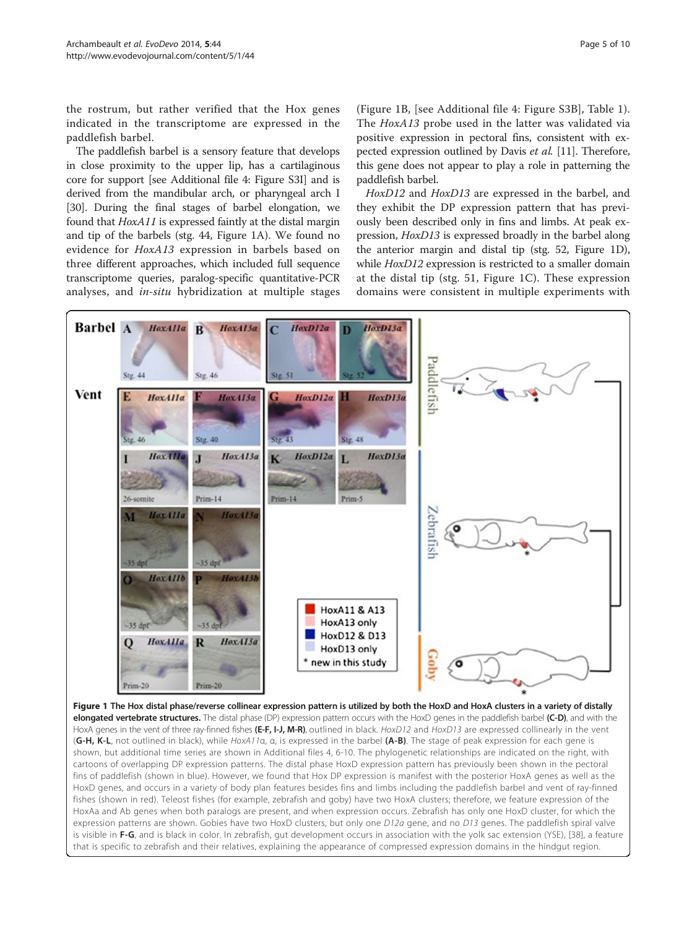<span id="page-4-0"></span>the rostrum, but rather verified that the Hox genes indicated in the transcriptome are expressed in the paddlefish barbel.

The paddlefish barbel is a sensory feature that develops in close proximity to the upper lip, has a cartilaginous core for support [see Additional file [4:](#page-7-0) Figure S3I] and is derived from the mandibular arch, or pharyngeal arch I [[30](#page-9-0)]. During the final stages of barbel elongation, we found that HoxA11 is expressed faintly at the distal margin and tip of the barbels (stg. 44, Figure 1A). We found no evidence for HoxA13 expression in barbels based on three different approaches, which included full sequence transcriptome queries, paralog-specific quantitative-PCR analyses, and in-situ hybridization at multiple stages (Figure 1B, [see Additional file [4:](#page-7-0) Figure S3B], Table [1](#page-3-0)). The HoxA13 probe used in the latter was validated via positive expression in pectoral fins, consistent with ex-pected expression outlined by Davis et al. [\[11\]](#page-8-0). Therefore, this gene does not appear to play a role in patterning the paddlefish barbel.

HoxD12 and HoxD13 are expressed in the barbel, and they exhibit the DP expression pattern that has previously been described only in fins and limbs. At peak expression, HoxD13 is expressed broadly in the barbel along the anterior margin and distal tip (stg. 52, Figure 1D), while HoxD12 expression is restricted to a smaller domain at the distal tip (stg. 51, Figure 1C). These expression domains were consistent in multiple experiments with



HoxA genes in the vent of three ray-finned fishes (E-F, I-J, M-R), outlined in black. HoxD12 and HoxD13 are expressed collinearly in the vent (G-H, K-L, not outlined in black), while HoxA11α, α, is expressed in the barbel (A-B). The stage of peak expression for each gene is shown, but additional time series are shown in Additional files 4, 6-10. The phylogenetic relationships are indicated on the right, with cartoons of overlapping DP expression patterns. The distal phase HoxD expression pattern has previously been shown in the pectoral fins of paddlefish (shown in blue). However, we found that Hox DP expression is manifest with the posterior HoxA genes as well as the HoxD genes, and occurs in a variety of body plan features besides fins and limbs including the paddlefish barbel and vent of ray-finned fishes (shown in red). Teleost fishes (for example, zebrafish and goby) have two HoxA clusters; therefore, we feature expression of the HoxAa and Ab genes when both paralogs are present, and when expression occurs. Zebrafish has only one HoxD cluster, for which the expression patterns are shown. Gobies have two HoxD clusters, but only one D12a gene, and no D13 genes. The paddlefish spiral valve is visible in F-G, and is black in color. In zebrafish, gut development occurs in association with the yolk sac extension (YSE), [\[38](#page-9-0)], a feature that is specific to zebrafish and their relatives, explaining the appearance of compressed expression domains in the hindgut region.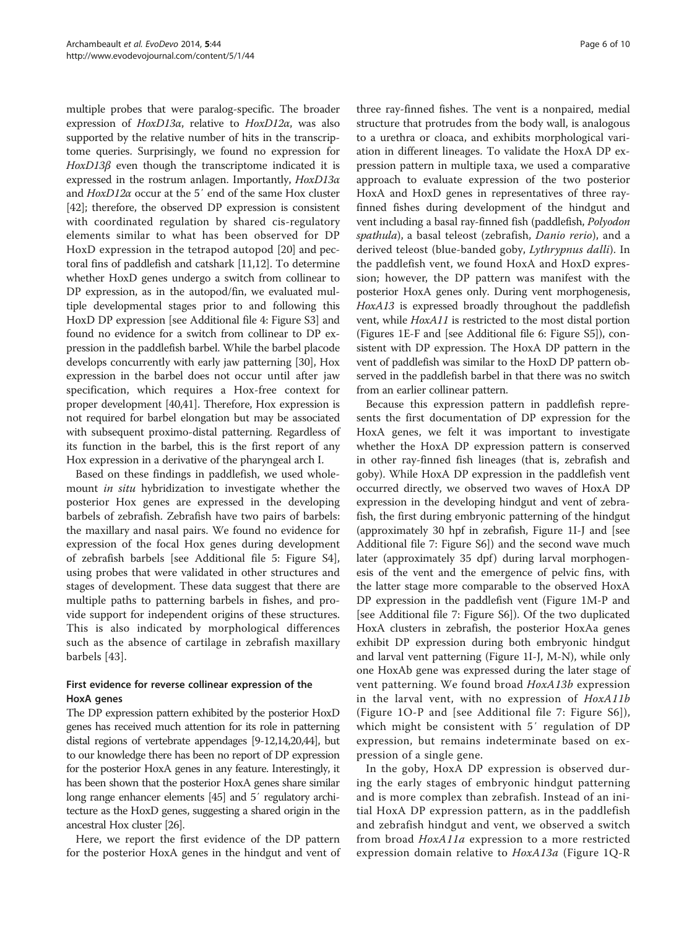multiple probes that were paralog-specific. The broader expression of HoxD13α, relative to HoxD12α, was also supported by the relative number of hits in the transcriptome queries. Surprisingly, we found no expression for  $HoxD13\beta$  even though the transcriptome indicated it is expressed in the rostrum anlagen. Importantly,  $HoxD13\alpha$ and HoxD12α occur at the 5′ end of the same Hox cluster [[42](#page-9-0)]; therefore, the observed DP expression is consistent with coordinated regulation by shared cis-regulatory elements similar to what has been observed for DP HoxD expression in the tetrapod autopod [\[20\]](#page-9-0) and pectoral fins of paddlefish and catshark [\[11,12\]](#page-8-0). To determine whether HoxD genes undergo a switch from collinear to DP expression, as in the autopod/fin, we evaluated multiple developmental stages prior to and following this HoxD DP expression [see Additional file [4](#page-7-0): Figure S3] and found no evidence for a switch from collinear to DP expression in the paddlefish barbel. While the barbel placode develops concurrently with early jaw patterning [\[30\]](#page-9-0), Hox expression in the barbel does not occur until after jaw specification, which requires a Hox-free context for proper development [\[40,41\]](#page-9-0). Therefore, Hox expression is not required for barbel elongation but may be associated with subsequent proximo-distal patterning. Regardless of its function in the barbel, this is the first report of any Hox expression in a derivative of the pharyngeal arch I.

Based on these findings in paddlefish, we used wholemount in situ hybridization to investigate whether the posterior Hox genes are expressed in the developing barbels of zebrafish. Zebrafish have two pairs of barbels: the maxillary and nasal pairs. We found no evidence for expression of the focal Hox genes during development of zebrafish barbels [see Additional file [5](#page-7-0): Figure S4], using probes that were validated in other structures and stages of development. These data suggest that there are multiple paths to patterning barbels in fishes, and provide support for independent origins of these structures. This is also indicated by morphological differences such as the absence of cartilage in zebrafish maxillary barbels [[43\]](#page-9-0).

# First evidence for reverse collinear expression of the HoxA genes

The DP expression pattern exhibited by the posterior HoxD genes has received much attention for its role in patterning distal regions of vertebrate appendages [\[9](#page-8-0)-[12,14](#page-8-0)[,20,44\]](#page-9-0), but to our knowledge there has been no report of DP expression for the posterior HoxA genes in any feature. Interestingly, it has been shown that the posterior HoxA genes share similar long range enhancer elements [\[45](#page-9-0)] and 5′ regulatory architecture as the HoxD genes, suggesting a shared origin in the ancestral Hox cluster [[26\]](#page-9-0).

Here, we report the first evidence of the DP pattern for the posterior HoxA genes in the hindgut and vent of

three ray-finned fishes. The vent is a nonpaired, medial structure that protrudes from the body wall, is analogous to a urethra or cloaca, and exhibits morphological variation in different lineages. To validate the HoxA DP expression pattern in multiple taxa, we used a comparative approach to evaluate expression of the two posterior HoxA and HoxD genes in representatives of three rayfinned fishes during development of the hindgut and vent including a basal ray-finned fish (paddlefish, Polyodon spathula), a basal teleost (zebrafish, Danio rerio), and a derived teleost (blue-banded goby, Lythrypnus dalli). In the paddlefish vent, we found HoxA and HoxD expression; however, the DP pattern was manifest with the posterior HoxA genes only. During vent morphogenesis, HoxA13 is expressed broadly throughout the paddlefish vent, while HoxA11 is restricted to the most distal portion (Figures [1](#page-4-0)E-F and [see Additional file [6:](#page-8-0) Figure S5]), consistent with DP expression. The HoxA DP pattern in the vent of paddlefish was similar to the HoxD DP pattern observed in the paddlefish barbel in that there was no switch from an earlier collinear pattern.

Because this expression pattern in paddlefish represents the first documentation of DP expression for the HoxA genes, we felt it was important to investigate whether the HoxA DP expression pattern is conserved in other ray-finned fish lineages (that is, zebrafish and goby). While HoxA DP expression in the paddlefish vent occurred directly, we observed two waves of HoxA DP expression in the developing hindgut and vent of zebrafish, the first during embryonic patterning of the hindgut (approximately 30 hpf in zebrafish, Figure [1](#page-4-0)I-J and [see Additional file [7:](#page-8-0) Figure S6]) and the second wave much later (approximately 35 dpf) during larval morphogenesis of the vent and the emergence of pelvic fins, with the latter stage more comparable to the observed HoxA DP expression in the paddlefish vent (Figure [1M](#page-4-0)-P and [see Additional file [7](#page-8-0): Figure S6]). Of the two duplicated HoxA clusters in zebrafish, the posterior HoxAa genes exhibit DP expression during both embryonic hindgut and larval vent patterning (Figure [1I](#page-4-0)-J, M-N), while only one HoxAb gene was expressed during the later stage of vent patterning. We found broad HoxA13b expression in the larval vent, with no expression of HoxA11b (Figure [1O](#page-4-0)-P and [see Additional file [7:](#page-8-0) Figure S6]), which might be consistent with 5′ regulation of DP expression, but remains indeterminate based on expression of a single gene.

In the goby, HoxA DP expression is observed during the early stages of embryonic hindgut patterning and is more complex than zebrafish. Instead of an initial HoxA DP expression pattern, as in the paddlefish and zebrafish hindgut and vent, we observed a switch from broad HoxA11a expression to a more restricted expression domain relative to  $HoxA13a$  (Figure [1Q](#page-4-0)-R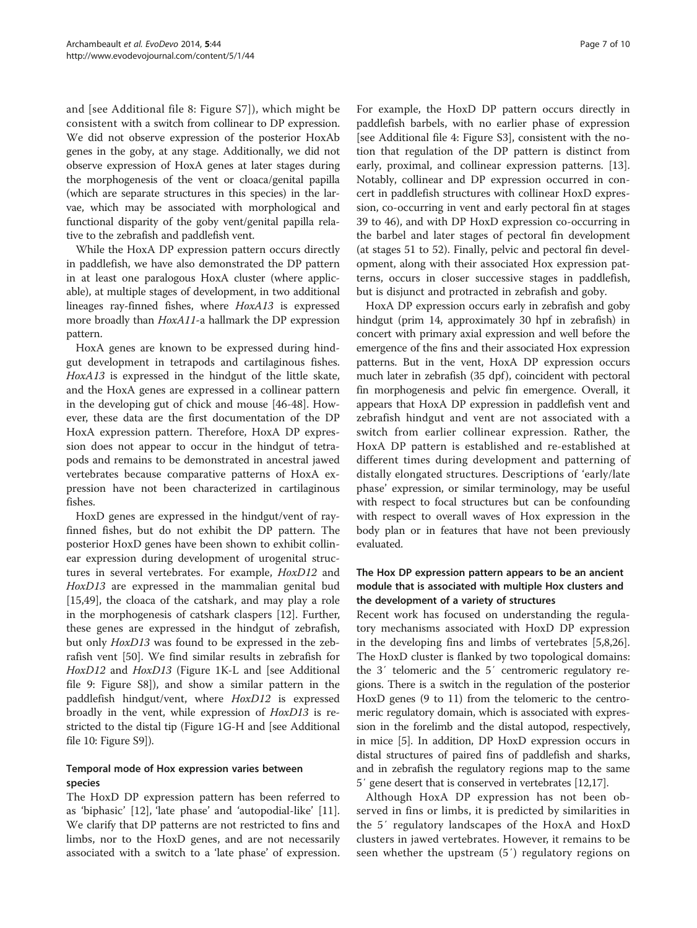and [see Additional file [8:](#page-8-0) Figure S7]), which might be consistent with a switch from collinear to DP expression. We did not observe expression of the posterior HoxAb genes in the goby, at any stage. Additionally, we did not observe expression of HoxA genes at later stages during the morphogenesis of the vent or cloaca/genital papilla (which are separate structures in this species) in the larvae, which may be associated with morphological and functional disparity of the goby vent/genital papilla relative to the zebrafish and paddlefish vent.

While the HoxA DP expression pattern occurs directly in paddlefish, we have also demonstrated the DP pattern in at least one paralogous HoxA cluster (where applicable), at multiple stages of development, in two additional lineages ray-finned fishes, where HoxA13 is expressed more broadly than HoxA11-a hallmark the DP expression pattern.

HoxA genes are known to be expressed during hindgut development in tetrapods and cartilaginous fishes. HoxA13 is expressed in the hindgut of the little skate, and the HoxA genes are expressed in a collinear pattern in the developing gut of chick and mouse [[46](#page-9-0)-[48\]](#page-9-0). However, these data are the first documentation of the DP HoxA expression pattern. Therefore, HoxA DP expression does not appear to occur in the hindgut of tetrapods and remains to be demonstrated in ancestral jawed vertebrates because comparative patterns of HoxA expression have not been characterized in cartilaginous fishes.

HoxD genes are expressed in the hindgut/vent of rayfinned fishes, but do not exhibit the DP pattern. The posterior HoxD genes have been shown to exhibit collinear expression during development of urogenital structures in several vertebrates. For example, HoxD12 and HoxD13 are expressed in the mammalian genital bud [[15,49\]](#page-9-0), the cloaca of the catshark, and may play a role in the morphogenesis of catshark claspers [[12](#page-8-0)]. Further, these genes are expressed in the hindgut of zebrafish, but only HoxD13 was found to be expressed in the zebrafish vent [[50](#page-9-0)]. We find similar results in zebrafish for HoxD12 and HoxD13 (Figure [1K](#page-4-0)-L and [see Additional file [9](#page-8-0): Figure S8]), and show a similar pattern in the paddlefish hindgut/vent, where HoxD12 is expressed broadly in the vent, while expression of HoxD13 is restricted to the distal tip (Figure [1G](#page-4-0)-H and [see Additional file [10](#page-8-0): Figure S9]).

# Temporal mode of Hox expression varies between species

The HoxD DP expression pattern has been referred to as 'biphasic' [[12\]](#page-8-0), 'late phase' and 'autopodial-like' [\[11](#page-8-0)]. We clarify that DP patterns are not restricted to fins and limbs, nor to the HoxD genes, and are not necessarily associated with a switch to a 'late phase' of expression.

For example, the HoxD DP pattern occurs directly in paddlefish barbels, with no earlier phase of expression [see Additional file [4](#page-7-0): Figure S3], consistent with the notion that regulation of the DP pattern is distinct from early, proximal, and collinear expression patterns. [\[13](#page-8-0)]. Notably, collinear and DP expression occurred in concert in paddlefish structures with collinear HoxD expression, co-occurring in vent and early pectoral fin at stages 39 to 46), and with DP HoxD expression co-occurring in the barbel and later stages of pectoral fin development (at stages 51 to 52). Finally, pelvic and pectoral fin development, along with their associated Hox expression patterns, occurs in closer successive stages in paddlefish, but is disjunct and protracted in zebrafish and goby.

HoxA DP expression occurs early in zebrafish and goby hindgut (prim 14, approximately 30 hpf in zebrafish) in concert with primary axial expression and well before the emergence of the fins and their associated Hox expression patterns. But in the vent, HoxA DP expression occurs much later in zebrafish (35 dpf ), coincident with pectoral fin morphogenesis and pelvic fin emergence. Overall, it appears that HoxA DP expression in paddlefish vent and zebrafish hindgut and vent are not associated with a switch from earlier collinear expression. Rather, the HoxA DP pattern is established and re-established at different times during development and patterning of distally elongated structures. Descriptions of 'early/late phase' expression, or similar terminology, may be useful with respect to focal structures but can be confounding with respect to overall waves of Hox expression in the body plan or in features that have not been previously evaluated.

# The Hox DP expression pattern appears to be an ancient module that is associated with multiple Hox clusters and the development of a variety of structures

Recent work has focused on understanding the regulatory mechanisms associated with HoxD DP expression in the developing fins and limbs of vertebrates [\[5,8](#page-8-0)[,26](#page-9-0)]. The HoxD cluster is flanked by two topological domains: the 3′ telomeric and the 5′ centromeric regulatory regions. There is a switch in the regulation of the posterior HoxD genes (9 to 11) from the telomeric to the centromeric regulatory domain, which is associated with expression in the forelimb and the distal autopod, respectively, in mice [\[5\]](#page-8-0). In addition, DP HoxD expression occurs in distal structures of paired fins of paddlefish and sharks, and in zebrafish the regulatory regions map to the same 5′ gene desert that is conserved in vertebrates [[12,](#page-8-0)[17](#page-9-0)].

Although HoxA DP expression has not been observed in fins or limbs, it is predicted by similarities in the 5′ regulatory landscapes of the HoxA and HoxD clusters in jawed vertebrates. However, it remains to be seen whether the upstream (5′) regulatory regions on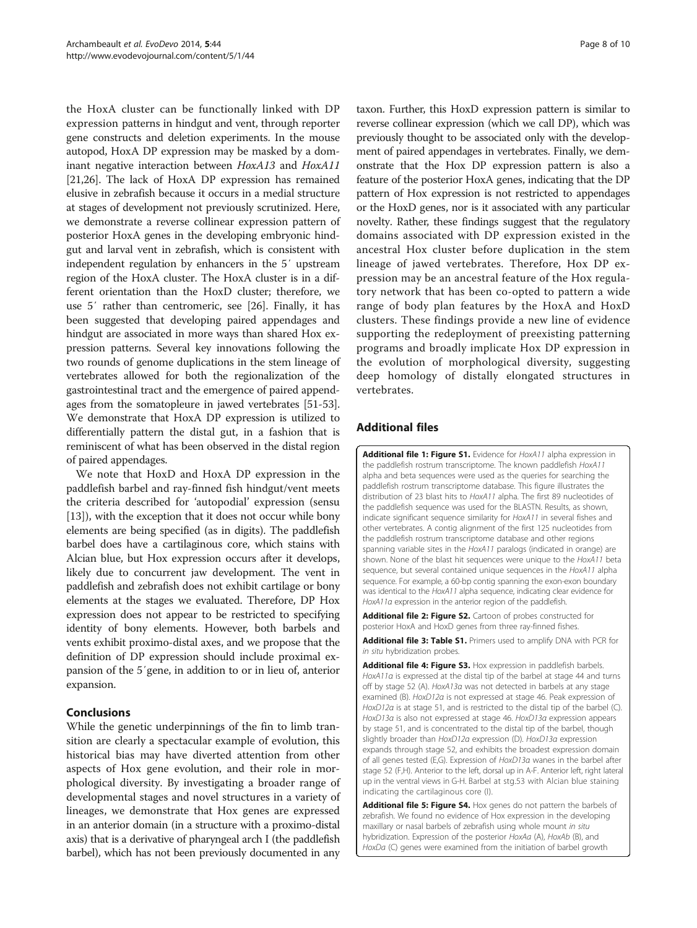<span id="page-7-0"></span>the HoxA cluster can be functionally linked with DP expression patterns in hindgut and vent, through reporter gene constructs and deletion experiments. In the mouse autopod, HoxA DP expression may be masked by a dominant negative interaction between HoxA13 and HoxA11 [[21,26](#page-9-0)]. The lack of HoxA DP expression has remained elusive in zebrafish because it occurs in a medial structure at stages of development not previously scrutinized. Here, we demonstrate a reverse collinear expression pattern of posterior HoxA genes in the developing embryonic hindgut and larval vent in zebrafish, which is consistent with independent regulation by enhancers in the 5′ upstream region of the HoxA cluster. The HoxA cluster is in a different orientation than the HoxD cluster; therefore, we use 5′ rather than centromeric, see [\[26](#page-9-0)]. Finally, it has been suggested that developing paired appendages and hindgut are associated in more ways than shared Hox expression patterns. Several key innovations following the two rounds of genome duplications in the stem lineage of vertebrates allowed for both the regionalization of the gastrointestinal tract and the emergence of paired appendages from the somatopleure in jawed vertebrates [[51](#page-9-0)-[53](#page-9-0)]. We demonstrate that HoxA DP expression is utilized to differentially pattern the distal gut, in a fashion that is reminiscent of what has been observed in the distal region of paired appendages.

We note that HoxD and HoxA DP expression in the paddlefish barbel and ray-finned fish hindgut/vent meets the criteria described for 'autopodial' expression (sensu [[13\]](#page-8-0)), with the exception that it does not occur while bony elements are being specified (as in digits). The paddlefish barbel does have a cartilaginous core, which stains with Alcian blue, but Hox expression occurs after it develops, likely due to concurrent jaw development. The vent in paddlefish and zebrafish does not exhibit cartilage or bony elements at the stages we evaluated. Therefore, DP Hox expression does not appear to be restricted to specifying identity of bony elements. However, both barbels and vents exhibit proximo-distal axes, and we propose that the definition of DP expression should include proximal expansion of the 5′gene, in addition to or in lieu of, anterior expansion.

### Conclusions

While the genetic underpinnings of the fin to limb transition are clearly a spectacular example of evolution, this historical bias may have diverted attention from other aspects of Hox gene evolution, and their role in morphological diversity. By investigating a broader range of developmental stages and novel structures in a variety of lineages, we demonstrate that Hox genes are expressed in an anterior domain (in a structure with a proximo-distal axis) that is a derivative of pharyngeal arch I (the paddlefish barbel), which has not been previously documented in any

taxon. Further, this HoxD expression pattern is similar to reverse collinear expression (which we call DP), which was previously thought to be associated only with the development of paired appendages in vertebrates. Finally, we demonstrate that the Hox DP expression pattern is also a feature of the posterior HoxA genes, indicating that the DP pattern of Hox expression is not restricted to appendages or the HoxD genes, nor is it associated with any particular novelty. Rather, these findings suggest that the regulatory domains associated with DP expression existed in the ancestral Hox cluster before duplication in the stem lineage of jawed vertebrates. Therefore, Hox DP expression may be an ancestral feature of the Hox regulatory network that has been co-opted to pattern a wide range of body plan features by the HoxA and HoxD clusters. These findings provide a new line of evidence supporting the redeployment of preexisting patterning programs and broadly implicate Hox DP expression in the evolution of morphological diversity, suggesting deep homology of distally elongated structures in vertebrates.

# Additional files

[Additional file 1: Figure S1.](http://www.biomedcentral.com/content/supplementary/2041-9139-5-44-S1.png) Evidence for HoxA11 alpha expression in the paddlefish rostrum transcriptome. The known paddlefish HoxA11 alpha and beta sequences were used as the queries for searching the paddlefish rostrum transcriptome database. This figure illustrates the distribution of 23 blast hits to HoxA11 alpha. The first 89 nucleotides of the paddlefish sequence was used for the BLASTN. Results, as shown, indicate significant sequence similarity for HoxA11 in several fishes and other vertebrates. A contig alignment of the first 125 nucleotides from the paddlefish rostrum transcriptome database and other regions spanning variable sites in the HoxA11 paralogs (indicated in orange) are shown. None of the blast hit sequences were unique to the HoxA11 beta sequence, but several contained unique sequences in the HoxA11 alpha sequence. For example, a 60-bp contig spanning the exon-exon boundary was identical to the HoxA11 alpha sequence, indicating clear evidence for HoxA11α expression in the anterior region of the paddlefish.

[Additional file 2: Figure S2.](http://www.biomedcentral.com/content/supplementary/2041-9139-5-44-S2.png) Cartoon of probes constructed for posterior HoxA and HoxD genes from three ray-finned fishes. [Additional file 3: Table S1.](http://www.biomedcentral.com/content/supplementary/2041-9139-5-44-S3.png) Primers used to amplify DNA with PCR for in situ hybridization probes.

[Additional file 4: Figure S3.](http://www.biomedcentral.com/content/supplementary/2041-9139-5-44-S4.png) Hox expression in paddlefish barbels. HoxA11a is expressed at the distal tip of the barbel at stage 44 and turns off by stage 52 (A). HoxA13α was not detected in barbels at any stage examined (B). HoxD12α is not expressed at stage 46. Peak expression of HoxD12α is at stage 51, and is restricted to the distal tip of the barbel (C). HoxD13α is also not expressed at stage 46. HoxD13α expression appears by stage 51, and is concentrated to the distal tip of the barbel, though slightly broader than HoxD12α expression (D). HoxD13α expression expands through stage 52, and exhibits the broadest expression domain of all genes tested (E,G). Expression of HoxD13α wanes in the barbel after stage 52 (F,H). Anterior to the left, dorsal up in A-F. Anterior left, right lateral up in the ventral views in G-H. Barbel at stg.53 with Alcian blue staining indicating the cartilaginous core (I).

[Additional file 5: Figure S4.](http://www.biomedcentral.com/content/supplementary/2041-9139-5-44-S5.png) Hox genes do not pattern the barbels of zebrafish. We found no evidence of Hox expression in the developing maxillary or nasal barbels of zebrafish using whole mount in situ hybridization. Expression of the posterior HoxAa (A), HoxAb (B), and HoxDa (C) genes were examined from the initiation of barbel growth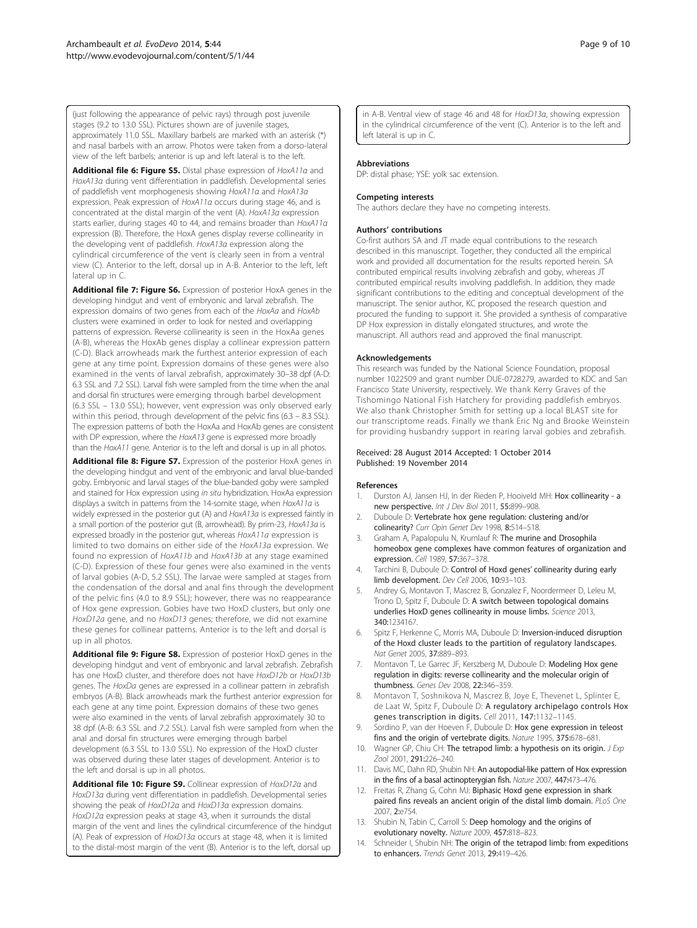<span id="page-8-0"></span>(just following the appearance of pelvic rays) through post juvenile stages (9.2 to 13.0 SSL). Pictures shown are of juvenile stages, approximately 11.0 SSL. Maxillary barbels are marked with an asterisk (\*) and nasal barbels with an arrow. Photos were taken from a dorso-lateral view of the left barbels; anterior is up and left lateral is to the left.

[Additional file 6: Figure S5.](http://www.biomedcentral.com/content/supplementary/2041-9139-5-44-S6.png) Distal phase expression of HoxA11a and HoxA13α during vent differentiation in paddlefish. Developmental series of paddlefish vent morphogenesis showing HoxA11α and HoxA13α expression. Peak expression of HoxA11a occurs during stage 46, and is concentrated at the distal margin of the vent (A). HoxA13α expression starts earlier, during stages 40 to 44, and remains broader than HoxA11a expression (B). Therefore, the HoxA genes display reverse collinearity in the developing vent of paddlefish. HoxA13α expression along the cylindrical circumference of the vent is clearly seen in from a ventral view (C). Anterior to the left, dorsal up in A-B. Anterior to the left, left lateral up in C.

[Additional file 7: Figure S6.](http://www.biomedcentral.com/content/supplementary/2041-9139-5-44-S7.png) Expression of posterior HoxA genes in the developing hindgut and vent of embryonic and larval zebrafish. The expression domains of two genes from each of the HoxAa and HoxAb clusters were examined in order to look for nested and overlapping patterns of expression. Reverse collinearity is seen in the HoxAa genes (A-B), whereas the HoxAb genes display a collinear expression pattern (C-D). Black arrowheads mark the furthest anterior expression of each gene at any time point. Expression domains of these genes were also examined in the vents of larval zebrafish, approximately 30–38 dpf (A-D: 6.3 SSL and 7.2 SSL). Larval fish were sampled from the time when the anal and dorsal fin structures were emerging through barbel development (6.3 SSL – 13.0 SSL); however, vent expression was only observed early within this period, through development of the pelvic fins (6.3 – 8.3 SSL). The expression patterns of both the HoxAa and HoxAb genes are consistent with DP expression, where the HoxA13 gene is expressed more broadly than the HoxA11 gene. Anterior is to the left and dorsal is up in all photos.

[Additional file 8: Figure S7.](http://www.biomedcentral.com/content/supplementary/2041-9139-5-44-S8.png) Expression of the posterior HoxA genes in the developing hindgut and vent of the embryonic and larval blue-banded goby. Embryonic and larval stages of the blue-banded goby were sampled and stained for Hox expression using in situ hybridization. HoxAa expression displays a switch in patterns from the 14-somite stage, when HoxA11a is widely expressed in the posterior gut (A) and HoxA13a is expressed faintly in a small portion of the posterior gut (B, arrowhead). By prim-23, HoxA13a is expressed broadly in the posterior gut, whereas HoxA11a expression is limited to two domains on either side of the HoxA13a expression. We found no expression of HoxA11b and HoxA13b at any stage examined (C-D). Expression of these four genes were also examined in the vents of larval gobies (A-D, 5.2 SSL). The larvae were sampled at stages from the condensation of the dorsal and anal fins through the development of the pelvic fins (4.0 to 8.9 SSL); however, there was no reappearance of Hox gene expression. Gobies have two HoxD clusters, but only one HoxD12a gene, and no HoxD13 genes; therefore, we did not examine these genes for collinear patterns. Anterior is to the left and dorsal is up in all photos.

[Additional file 9: Figure S8.](http://www.biomedcentral.com/content/supplementary/2041-9139-5-44-S9.png) Expression of posterior HoxD genes in the developing hindgut and vent of embryonic and larval zebrafish. Zebrafish has one HoxD cluster, and therefore does not have HoxD12b or HoxD13b genes. The HoxDa genes are expressed in a collinear pattern in zebrafish embryos (A-B). Black arrowheads mark the furthest anterior expression for each gene at any time point. Expression domains of these two genes were also examined in the vents of larval zebrafish approximately 30 to 38 dpf (A-B: 6.3 SSL and 7.2 SSL). Larval fish were sampled from when the anal and dorsal fin structures were emerging through barbel development (6.3 SSL to 13.0 SSL). No expression of the HoxD cluster was observed during these later stages of development. Anterior is to the left and dorsal is up in all photos.

[Additional file 10: Figure S9.](http://www.biomedcentral.com/content/supplementary/2041-9139-5-44-S10.png) Collinear expression of HoxD12a and HoxD13α during vent differentiation in paddlefish. Developmental series showing the peak of HoxD12a and HoxD13a expression domains. HoxD12α expression peaks at stage 43, when it surrounds the distal margin of the vent and lines the cylindrical circumference of the hindgut (A). Peak of expression of HoxD13α occurs at stage 48, when it is limited to the distal-most margin of the vent (B). Anterior is to the left, dorsal up

in A-B. Ventral view of stage 46 and 48 for HoxD13α, showing expression in the cylindrical circumference of the vent (C). Anterior is to the left and left lateral is up in C.

#### Abbreviations

DP: distal phase; YSE: yolk sac extension.

#### Competing interests

The authors declare they have no competing interests.

#### Authors' contributions

Co-first authors SA and JT made equal contributions to the research described in this manuscript. Together, they conducted all the empirical work and provided all documentation for the results reported herein. SA contributed empirical results involving zebrafish and goby, whereas JT contributed empirical results involving paddlefish. In addition, they made significant contributions to the editing and conceptual development of the manuscript. The senior author, KC proposed the research question and procured the funding to support it. She provided a synthesis of comparative DP Hox expression in distally elongated structures, and wrote the manuscript. All authors read and approved the final manuscript.

#### Acknowledgements

This research was funded by the National Science Foundation, proposal number 1022509 and grant number DUE-0728279, awarded to KDC and San Francisco State University, respectively. We thank Kerry Graves of the Tishomingo National Fish Hatchery for providing paddlefish embryos. We also thank Christopher Smith for setting up a local BLAST site for our transcriptome reads. Finally we thank Eric Ng and Brooke Weinstein for providing husbandry support in rearing larval gobies and zebrafish.

#### Received: 28 August 2014 Accepted: 1 October 2014 Published: 19 November 2014

#### References

- 1. Durston AJ, Jansen HJ, In der Rieden P, Hooiveld MH: Hox collinearity a new perspective. Int J Dev Biol 2011, 55:899-908.
- 2. Duboule D: Vertebrate hox gene regulation: clustering and/or colinearity? Curr Opin Genet Dev 1998, 8:514–518.
- Graham A, Papalopulu N, Krumlauf R: The murine and Drosophila homeobox gene complexes have common features of organization and expression. Cell 1989, 57:367–378.
- 4. Tarchini B, Duboule D: Control of Hoxd genes' collinearity during early limb development. Dev Cell 2006, 10:93–103.
- 5. Andrey G, Montavon T, Mascrez B, Gonzalez F, Noordermeer D, Leleu M, Trono D, Spitz F, Duboule D: A switch between topological domains underlies HoxD genes collinearity in mouse limbs. Science 2013, 340:1234167.
- 6. Spitz F, Herkenne C, Morris MA, Duboule D: Inversion-induced disruption of the Hoxd cluster leads to the partition of regulatory landscapes. Nat Genet 2005, 37:889–893.
- 7. Montavon T, Le Garrec JF, Kerszberg M, Duboule D: Modeling Hox gene regulation in digits: reverse collinearity and the molecular origin of thumbness. Genes Dev 2008, 22:346–359.
- Montavon T, Soshnikova N, Mascrez B, Joye E, Thevenet L, Splinter E, de Laat W, Spitz F, Duboule D: A regulatory archipelago controls Hox genes transcription in digits. Cell 2011, 147:1132-1145.
- 9. Sordino P, van der Hoeven F, Duboule D: Hox gene expression in teleost fins and the origin of vertebrate digits. Nature 1995, 375:678–681.
- 10. Wagner GP, Chiu CH: The tetrapod limb: a hypothesis on its origin. J Exp Zool 2001, 291:226–240.
- 11. Davis MC, Dahn RD, Shubin NH: An autopodial-like pattern of Hox expression in the fins of a basal actinopterygian fish. Nature 2007, 447:473–476.
- 12. Freitas R, Zhang G, Cohn MJ: Biphasic Hoxd gene expression in shark paired fins reveals an ancient origin of the distal limb domain. PLoS One 2007, 2:e754.
- 13. Shubin N, Tabin C, Carroll S: Deep homology and the origins of evolutionary novelty. Nature 2009, 457:818–823.
- 14. Schneider I, Shubin NH: The origin of the tetrapod limb: from expeditions to enhancers. Trends Genet 2013, 29:419–426.